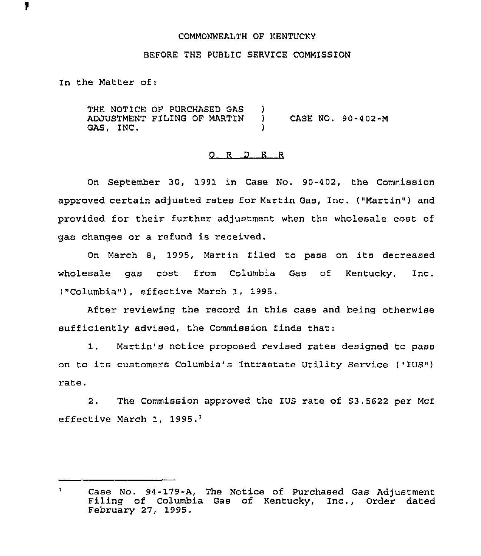#### COMMONWEALTH OF KENTUCKY

#### BEFORE THE PUBLIC SERVICE COMMISSION

In the Matter of:

THE NOTICE OF PURCHASED GAS ADJUSTMENT FILING OF MARTIN GAS, INC.  $\mathbf{I}$ ) CASE NO. 90-402-M )

#### O R D E R

On September 30, 1991 in Case No. 90-402, the Commission approved certain adjusted rates for Martin Gas, Inc. ("Martin" ) and provided for their further adjustment when the wholesale cost of gas changes or a refund is received,

On March 8, 1995, Martin filed to pass on its decreased wholesale gas cost from Columbia Gas of Kentucky, Inc. ("Columbia"), effective March 1, 1995.

After reviewing the record in this case and being otherwise sufficiently advised, the Commission finds that:

1. Martin's notice proposed revised rates designed to pass on to its customers Columbia's Intrastate Utility Service ("IUS") rate.

2. The Commission approved the IUS rate of \$3.5622 per Mcf effective March 1, 1995.<sup>1</sup>

1

 $\mathbf{I}$ Case No. 94-179-A, The Notice of Purchased Gas Adjustment Filing of Columbia Gas of Kentucky, Inc., Order dated February 27, 1995.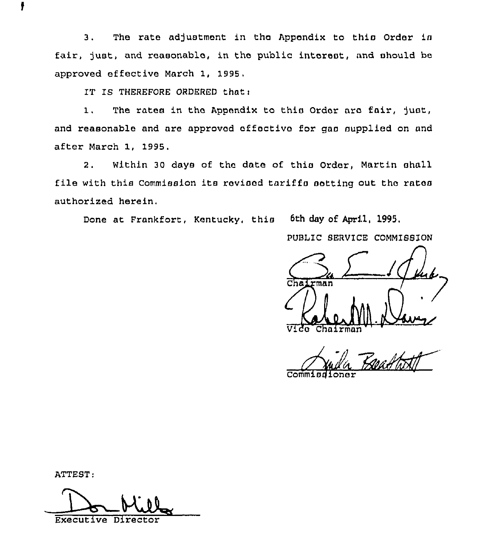3. The rate adjustment in the Appendix to this Order is fair, just, and reasonable, in the public interest, and should be approved effective March 1, 1995.

IT IS THEREFORE ORDERED that:

The rates in the Appendix to this Order aro fair, Just,  $1.$ and reasonable and are approved effective for gas supplied on and after March 1, 1995.

2. Within 30 days of the date of this Order, Martin shall file with this Commission its revised tariffs setting out the rates authorized herein.

Done at Frankfort, Kentucky, this 6th day of April, 1995.

PUBLIC SERVICE COMMISSION

 $\frac{1}{\sqrt{2\pi}}\int d^4x dx$ Chairman

 $Comm<sub>1</sub>$ 

ATTEST

ł

Executive Director